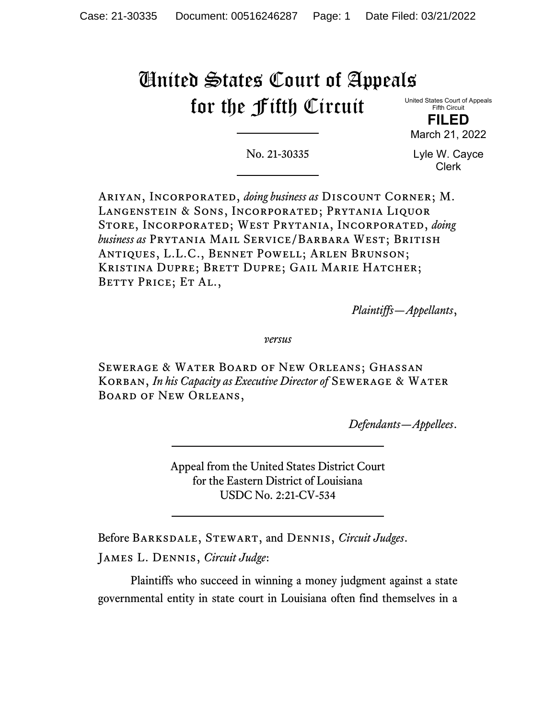# United States Court of Appeals for the Fifth Circuit

United States Court of Appeals Fifth Circuit

**FILED** March 21, 2022

No. 21-30335

Lyle W. Cayce Clerk

Ariyan, Incorporated, *doing business as* Discount Corner; M. Langenstein & Sons, Incorporated; Prytania Liquor Store, Incorporated; West Prytania, Incorporated, *doing business as* Prytania Mail Service/Barbara West; British Antiques, L.L.C., Bennet Powell; Arlen Brunson; Kristina Dupre; Brett Dupre; Gail Marie Hatcher; BETTY PRICE; ET AL.,

*Plaintiffs—Appellants*,

*versus*

Sewerage & Water Board of New Orleans; Ghassan KORBAN, *In his Capacity as Executive Director of* SEWERAGE & WATER Board of New Orleans,

*Defendants—Appellees*.

Appeal from the United States District Court for the Eastern District of Louisiana USDC No. 2:21-CV-534

Before Barksdale, Stewart, and Dennis, *Circuit Judges*.

James L. Dennis, *Circuit Judge*:

Plaintiffs who succeed in winning a money judgment against a state governmental entity in state court in Louisiana often find themselves in a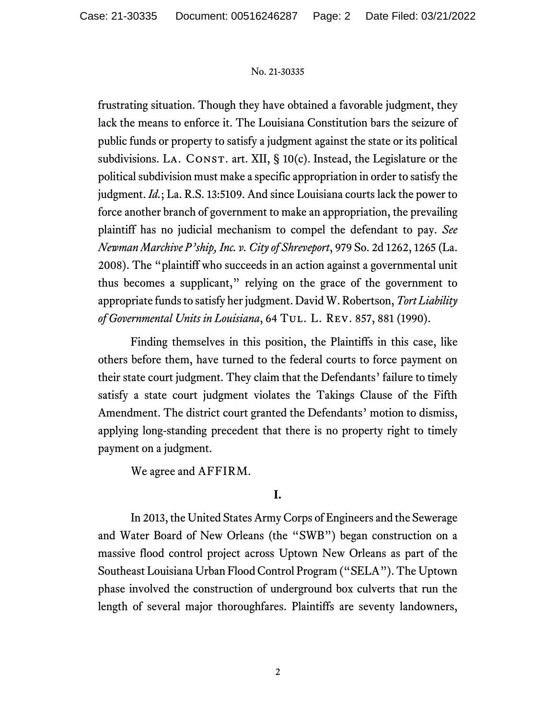frustrating situation. Though they have obtained a favorable judgment, they lack the means to enforce it. The Louisiana Constitution bars the seizure of public funds or property to satisfy a judgment against the state or its political subdivisions. LA. CONST. art. XII,  $\S$  10(c). Instead, the Legislature or the political subdivision must make a specific appropriation in order to satisfy the judgment. *Id.*; La. R.S. 13:5109. And since Louisiana courts lack the power to force another branch of government to make an appropriation, the prevailing plaintiff has no judicial mechanism to compel the defendant to pay. *See Newman Marchive P'ship, Inc. v. City of Shreveport*, 979 So. 2d 1262, 1265 (La. 2008). The "plaintiff who succeeds in an action against a governmental unit thus becomes a supplicant," relying on the grace of the government to appropriate funds to satisfy her judgment. David W. Robertson, *Tort Liability of Governmental Units in Louisiana*, 64 Tul. L. Rev. 857, 881 (1990).

Finding themselves in this position, the Plaintiffs in this case, like others before them, have turned to the federal courts to force payment on their state court judgment. They claim that the Defendants' failure to timely satisfy a state court judgment violates the Takings Clause of the Fifth Amendment. The district court granted the Defendants' motion to dismiss, applying long-standing precedent that there is no property right to timely payment on a judgment.

We agree and AFFIRM.

# **I.**

In 2013, the United States Army Corps of Engineers and the Sewerage and Water Board of New Orleans (the "SWB") began construction on a massive flood control project across Uptown New Orleans as part of the Southeast Louisiana Urban Flood Control Program ("SELA"). The Uptown phase involved the construction of underground box culverts that run the length of several major thoroughfares. Plaintiffs are seventy landowners,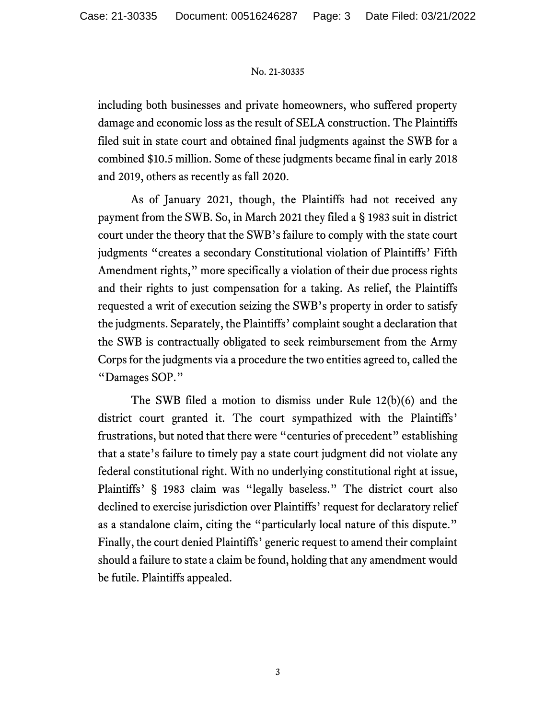including both businesses and private homeowners, who suffered property damage and economic loss as the result of SELA construction. The Plaintiffs filed suit in state court and obtained final judgments against the SWB for a combined \$10.5 million. Some of these judgments became final in early 2018 and 2019, others as recently as fall 2020.

As of January 2021, though, the Plaintiffs had not received any payment from the SWB. So, in March 2021 they filed a § 1983 suit in district court under the theory that the SWB's failure to comply with the state court judgments "creates a secondary Constitutional violation of Plaintiffs' Fifth Amendment rights," more specifically a violation of their due process rights and their rights to just compensation for a taking. As relief, the Plaintiffs requested a writ of execution seizing the SWB's property in order to satisfy the judgments. Separately, the Plaintiffs' complaint sought a declaration that the SWB is contractually obligated to seek reimbursement from the Army Corps for the judgments via a procedure the two entities agreed to, called the "Damages SOP."

The SWB filed a motion to dismiss under Rule 12(b)(6) and the district court granted it. The court sympathized with the Plaintiffs' frustrations, but noted that there were "centuries of precedent" establishing that a state's failure to timely pay a state court judgment did not violate any federal constitutional right. With no underlying constitutional right at issue, Plaintiffs' § 1983 claim was "legally baseless." The district court also declined to exercise jurisdiction over Plaintiffs' request for declaratory relief as a standalone claim, citing the "particularly local nature of this dispute." Finally, the court denied Plaintiffs' generic request to amend their complaint should a failure to state a claim be found, holding that any amendment would be futile. Plaintiffs appealed.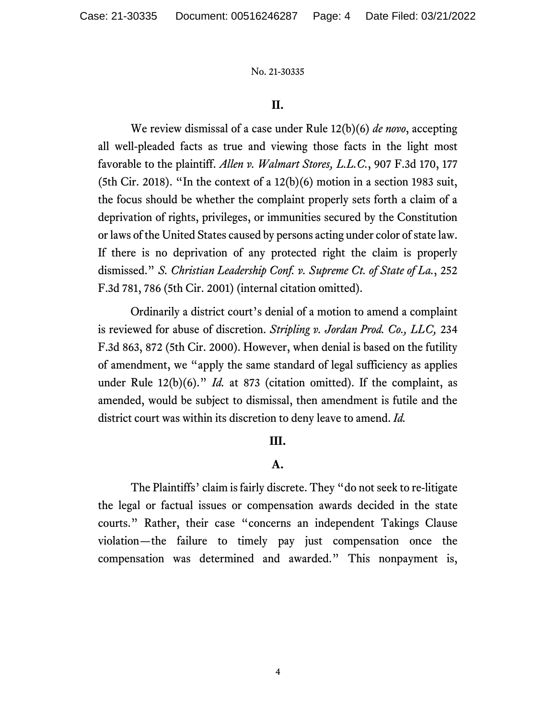## **II.**

We review dismissal of a case under Rule 12(b)(6) *de novo*, accepting all well-pleaded facts as true and viewing those facts in the light most favorable to the plaintiff. *Allen v. Walmart Stores, L.L.C.*, 907 F.3d 170, 177 (5th Cir. 2018). "In the context of a  $12(b)(6)$  motion in a section 1983 suit, the focus should be whether the complaint properly sets forth a claim of a deprivation of rights, privileges, or immunities secured by the Constitution or laws of the United States caused by persons acting under color of state law. If there is no deprivation of any protected right the claim is properly dismissed." *S. Christian Leadership Conf. v. Supreme Ct. of State of La.*, 252 F.3d 781, 786 (5th Cir. 2001) (internal citation omitted).

Ordinarily a district court's denial of a motion to amend a complaint is reviewed for abuse of discretion. *Stripling v. Jordan Prod. Co., LLC,* 234 F.3d 863, 872 (5th Cir. 2000). However, when denial is based on the futility of amendment, we "apply the same standard of legal sufficiency as applies under Rule 12(b)(6)." *Id.* at 873 (citation omitted). If the complaint, as amended, would be subject to dismissal, then amendment is futile and the district court was within its discretion to deny leave to amend. *Id.*

# **III.**

## **A.**

The Plaintiffs' claim is fairly discrete. They "do not seek to re-litigate the legal or factual issues or compensation awards decided in the state courts." Rather, their case "concerns an independent Takings Clause violation—the failure to timely pay just compensation once the compensation was determined and awarded." This nonpayment is,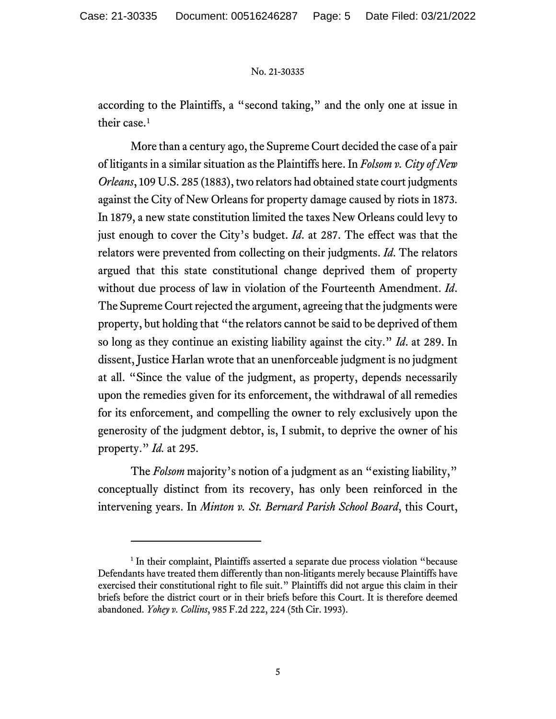according to the Plaintiffs, a "second taking," and the only one at issue in their case.<sup>[1](#page-4-0)</sup>

More than a century ago, the Supreme Court decided the case of a pair of litigants in a similar situation as the Plaintiffs here. In *Folsom v. City of New Orleans*, 109 U.S. 285 (1883), two relators had obtained state court judgments against the City of New Orleans for property damage caused by riots in 1873. In 1879, a new state constitution limited the taxes New Orleans could levy to just enough to cover the City's budget. *Id*. at 287. The effect was that the relators were prevented from collecting on their judgments. *Id*. The relators argued that this state constitutional change deprived them of property without due process of law in violation of the Fourteenth Amendment. *Id*. The Supreme Court rejected the argument, agreeing that the judgments were property, but holding that "the relators cannot be said to be deprived of them so long as they continue an existing liability against the city." *Id*. at 289. In dissent, Justice Harlan wrote that an unenforceable judgment is no judgment at all. "Since the value of the judgment, as property, depends necessarily upon the remedies given for its enforcement, the withdrawal of all remedies for its enforcement, and compelling the owner to rely exclusively upon the generosity of the judgment debtor, is, I submit, to deprive the owner of his property." *Id.* at 295.

The *Folsom* majority's notion of a judgment as an "existing liability," conceptually distinct from its recovery, has only been reinforced in the intervening years. In *Minton v. St. Bernard Parish School Board*, this Court,

<span id="page-4-0"></span><sup>&</sup>lt;sup>1</sup> In their complaint, Plaintiffs asserted a separate due process violation "because" Defendants have treated them differently than non-litigants merely because Plaintiffs have exercised their constitutional right to file suit." Plaintiffs did not argue this claim in their briefs before the district court or in their briefs before this Court. It is therefore deemed abandoned. *Yohey v. Collins*, 985 F.2d 222, 224 (5th Cir. 1993).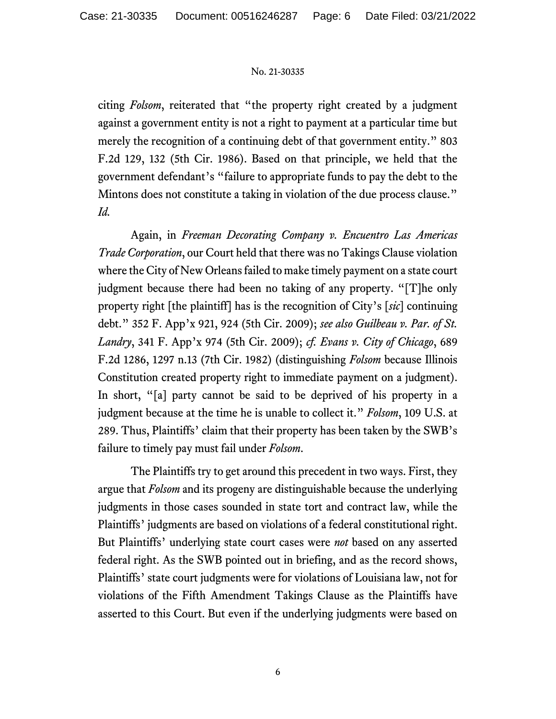citing *Folsom*, reiterated that "the property right created by a judgment against a government entity is not a right to payment at a particular time but merely the recognition of a continuing debt of that government entity." 803 F.2d 129, 132 (5th Cir. 1986). Based on that principle, we held that the government defendant's "failure to appropriate funds to pay the debt to the Mintons does not constitute a taking in violation of the due process clause." *Id.*

Again, in *Freeman Decorating Company v. Encuentro Las Americas Trade Corporation*, our Court held that there was no Takings Clause violation where the City of New Orleans failed to make timely payment on a state court judgment because there had been no taking of any property. "[T]he only property right [the plaintiff] has is the recognition of City's [*sic*] continuing debt." 352 F. App'x 921, 924 (5th Cir. 2009); *see also Guilbeau v. Par. of St. Landry*, 341 F. App'x 974 (5th Cir. 2009); *cf. Evans v. City of Chicago*, 689 F.2d 1286, 1297 n.13 (7th Cir. 1982) (distinguishing *Folsom* because Illinois Constitution created property right to immediate payment on a judgment). In short, "[a] party cannot be said to be deprived of his property in a judgment because at the time he is unable to collect it." *Folsom*, 109 U.S. at 289. Thus, Plaintiffs' claim that their property has been taken by the SWB's failure to timely pay must fail under *Folsom*.

The Plaintiffs try to get around this precedent in two ways. First, they argue that *Folsom* and its progeny are distinguishable because the underlying judgments in those cases sounded in state tort and contract law, while the Plaintiffs' judgments are based on violations of a federal constitutional right. But Plaintiffs' underlying state court cases were *not* based on any asserted federal right. As the SWB pointed out in briefing, and as the record shows, Plaintiffs' state court judgments were for violations of Louisiana law, not for violations of the Fifth Amendment Takings Clause as the Plaintiffs have asserted to this Court. But even if the underlying judgments were based on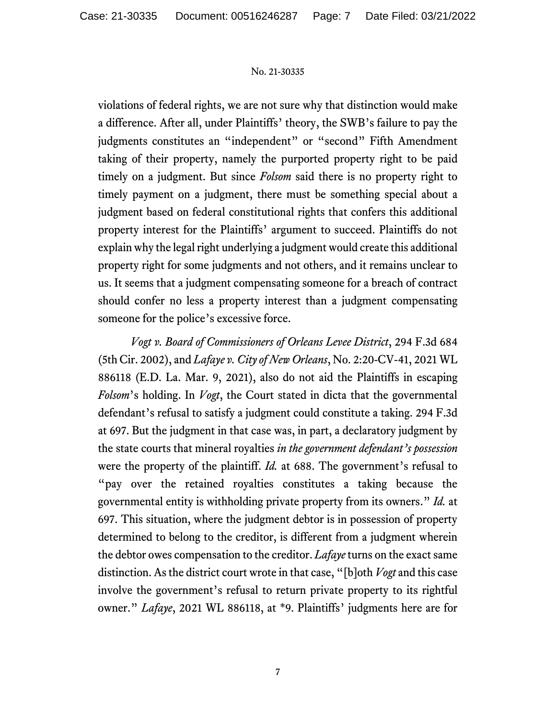violations of federal rights, we are not sure why that distinction would make a difference. After all, under Plaintiffs' theory, the SWB's failure to pay the judgments constitutes an "independent" or "second" Fifth Amendment taking of their property, namely the purported property right to be paid timely on a judgment. But since *Folsom* said there is no property right to timely payment on a judgment, there must be something special about a judgment based on federal constitutional rights that confers this additional property interest for the Plaintiffs' argument to succeed. Plaintiffs do not explain why the legal right underlying a judgment would create this additional property right for some judgments and not others, and it remains unclear to us. It seems that a judgment compensating someone for a breach of contract should confer no less a property interest than a judgment compensating someone for the police's excessive force.

*Vogt v. Board of Commissioners of Orleans Levee District*, 294 F.3d 684 (5th Cir. 2002), and *Lafaye v. City of New Orleans*, No. 2:20-CV-41, 2021 WL 886118 (E.D. La. Mar. 9, 2021), also do not aid the Plaintiffs in escaping *Folsom*'s holding. In *Vogt*, the Court stated in dicta that the governmental defendant's refusal to satisfy a judgment could constitute a taking. 294 F.3d at 697. But the judgment in that case was, in part, a declaratory judgment by the state courts that mineral royalties *in the government defendant's possession* were the property of the plaintiff. *Id.* at 688. The government's refusal to "pay over the retained royalties constitutes a taking because the governmental entity is withholding private property from its owners." *Id.* at 697. This situation, where the judgment debtor is in possession of property determined to belong to the creditor, is different from a judgment wherein the debtor owes compensation to the creditor. *Lafaye* turns on the exact same distinction. As the district court wrote in that case, "[b]oth *Vogt* and this case involve the government's refusal to return private property to its rightful owner." *Lafaye*, 2021 WL 886118, at \*9. Plaintiffs' judgments here are for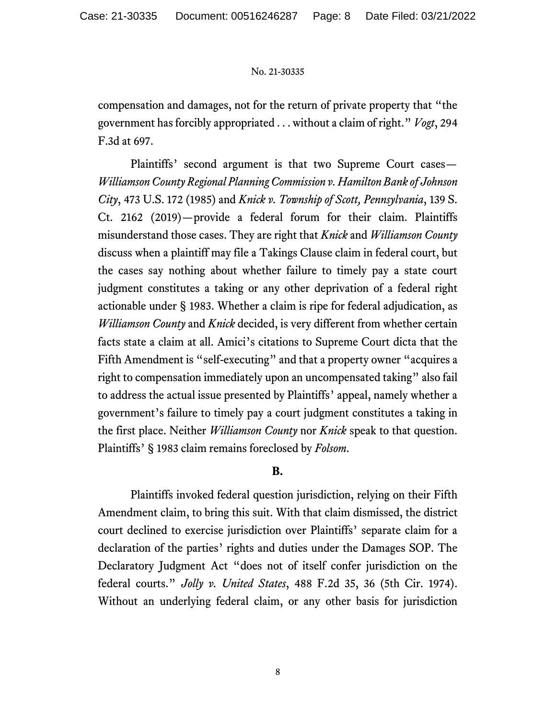compensation and damages, not for the return of private property that "the government has forcibly appropriated . . . without a claim of right." *Vogt*, 294 F.3d at 697.

Plaintiffs' second argument is that two Supreme Court cases— *Williamson County Regional Planning Commission v. Hamilton Bank of Johnson City*, 473 U.S. 172 (1985) and *Knick v. Township of Scott, Pennsylvania*, 139 S. Ct. 2162 (2019)—provide a federal forum for their claim. Plaintiffs misunderstand those cases. They are right that *Knick* and *Williamson County* discuss when a plaintiff may file a Takings Clause claim in federal court, but the cases say nothing about whether failure to timely pay a state court judgment constitutes a taking or any other deprivation of a federal right actionable under § 1983. Whether a claim is ripe for federal adjudication, as *Williamson County* and *Knick* decided, is very different from whether certain facts state a claim at all. Amici's citations to Supreme Court dicta that the Fifth Amendment is "self-executing" and that a property owner "acquires a right to compensation immediately upon an uncompensated taking" also fail to address the actual issue presented by Plaintiffs' appeal, namely whether a government's failure to timely pay a court judgment constitutes a taking in the first place. Neither *Williamson County* nor *Knick* speak to that question. Plaintiffs' § 1983 claim remains foreclosed by *Folsom*.

# **B.**

Plaintiffs invoked federal question jurisdiction, relying on their Fifth Amendment claim, to bring this suit. With that claim dismissed, the district court declined to exercise jurisdiction over Plaintiffs' separate claim for a declaration of the parties' rights and duties under the Damages SOP. The Declaratory Judgment Act "does not of itself confer jurisdiction on the federal courts." *Jolly v. United States*, 488 F.2d 35, 36 (5th Cir. 1974). Without an underlying federal claim, or any other basis for jurisdiction